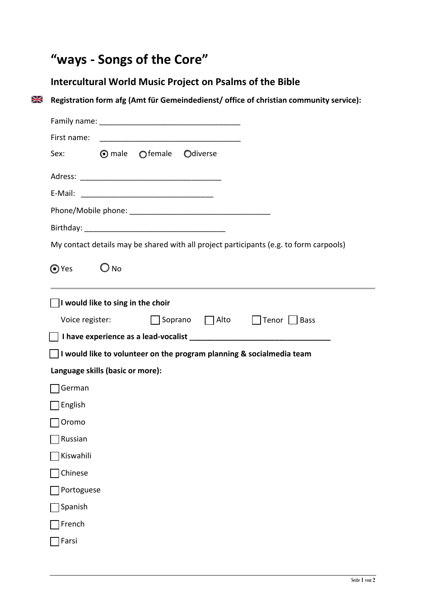## **"ways - Songs of the Core"**

## **Intercultural World Music Project on Psalms of the Bible**

**Registration form afg (Amt für Gemeindedienst/ office of christian community service):**

| First name:                                                                            |  |  |  |  |
|----------------------------------------------------------------------------------------|--|--|--|--|
| $\odot$ male $\odot$ female<br>Odiverse<br>Sex:                                        |  |  |  |  |
|                                                                                        |  |  |  |  |
|                                                                                        |  |  |  |  |
|                                                                                        |  |  |  |  |
|                                                                                        |  |  |  |  |
| My contact details may be shared with all project participants (e.g. to form carpools) |  |  |  |  |
| $\odot$ Yes<br>$\bigcirc$ No                                                           |  |  |  |  |
| I would like to sing in the choir                                                      |  |  |  |  |
| □ Soprano □ Alto □ Tenor □ Bass<br>Voice register:                                     |  |  |  |  |
|                                                                                        |  |  |  |  |
| $\Box$ I would like to volunteer on the program planning & socialmedia team            |  |  |  |  |
| Language skills (basic or more):                                                       |  |  |  |  |
| German                                                                                 |  |  |  |  |
| English                                                                                |  |  |  |  |
| Oromo                                                                                  |  |  |  |  |
| Russian                                                                                |  |  |  |  |
| Kiswahili                                                                              |  |  |  |  |
| Chinese                                                                                |  |  |  |  |
| Portoguese                                                                             |  |  |  |  |
| Spanish                                                                                |  |  |  |  |
| French                                                                                 |  |  |  |  |
| Farsi                                                                                  |  |  |  |  |